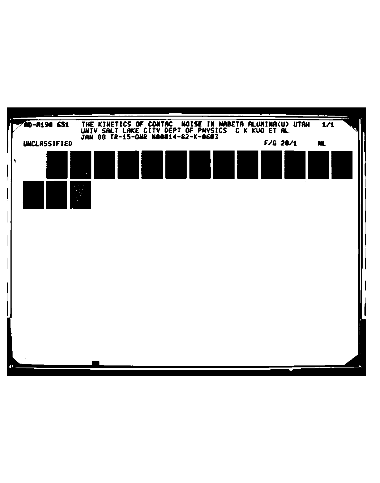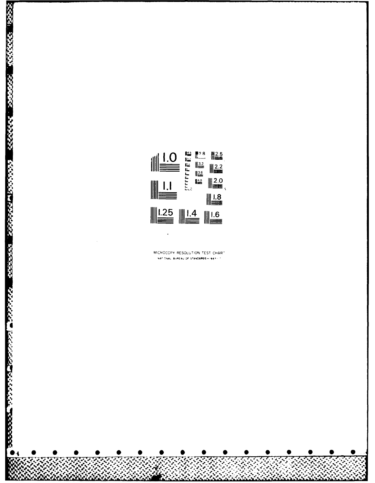

**RESIGNATION** 

**SAMARS** 

222222

attered Monther Bank and the series of the series

MICROCOPY RESOLUTION TEST CHART NAT ONAL BUREAU OF STANDARDS-1961-1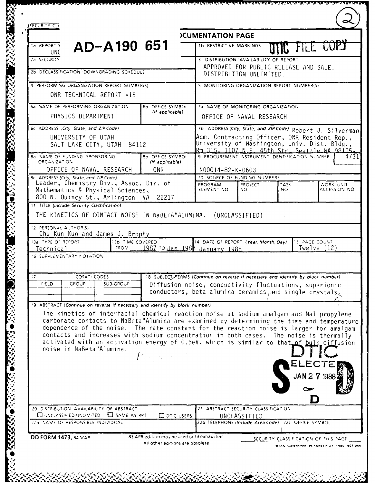| <b>ASECURITY CLZ</b>                                                                                                                                 |                                     |                                                                                                                                                                                                                                                                                                                                                                                                                                                                                                 |  |
|------------------------------------------------------------------------------------------------------------------------------------------------------|-------------------------------------|-------------------------------------------------------------------------------------------------------------------------------------------------------------------------------------------------------------------------------------------------------------------------------------------------------------------------------------------------------------------------------------------------------------------------------------------------------------------------------------------------|--|
|                                                                                                                                                      |                                     | <b>ICUMENTATION PAGE</b>                                                                                                                                                                                                                                                                                                                                                                                                                                                                        |  |
| AD-A190 651<br>Ta REPORT S<br>UNC.                                                                                                                   |                                     | LE LUP<br><b>1b RESTRICTIVE MARKINGS</b>                                                                                                                                                                                                                                                                                                                                                                                                                                                        |  |
| 2a SECURITY                                                                                                                                          |                                     | 3 DISTRIBUTION AVAILABILITY OF REPORT                                                                                                                                                                                                                                                                                                                                                                                                                                                           |  |
| 2b DECLASSIFICATION DOWNGRADING SCHEDULE                                                                                                             |                                     | APPROVED FOR PUBLIC RELEASE AND SALE.<br>DISTRIBUTION UNLIMITED.                                                                                                                                                                                                                                                                                                                                                                                                                                |  |
| 4 PERFORMING ORGANIZATION REPORT NUMBER(S)                                                                                                           |                                     | 5 MONITORING ORGANIZATION REPORT NUMBER(S)                                                                                                                                                                                                                                                                                                                                                                                                                                                      |  |
| ONR TECHNICAL REPORT =15                                                                                                                             |                                     |                                                                                                                                                                                                                                                                                                                                                                                                                                                                                                 |  |
| 6a VAME OF PERFORMING ORGANIZATION<br>PHYSICS DEPARTMENT                                                                                             | 60 OFFICE SYMBOL<br>(If applicable) | 7a NAME OF MONITORING ORGANIZATION<br>OFFICE OF NAVAL RESEARCH                                                                                                                                                                                                                                                                                                                                                                                                                                  |  |
| 6c. ADDRESS (City, State, and ZIP Code).                                                                                                             |                                     | 7b ADDRESS (City, State, and ZIP Code) Robert J. Silverman                                                                                                                                                                                                                                                                                                                                                                                                                                      |  |
| UNIVERSITY OF UTAH<br>SALT LAKE CITY, UTAH 84112                                                                                                     |                                     | Adm. Contracting Officer, ONR Resident Rep.,<br>University of Washington, Univ. Dist. Bldg.,<br>Rm 315, 1107 N.E. 45th Str. Seattle WA 98105-                                                                                                                                                                                                                                                                                                                                                   |  |
| 8a NAME OF FUNDING SPONSORING<br>ORGAN-ZATION                                                                                                        | 8b OFF CE SYMBOL<br>(If applicable) | 9 PROCUREMENT INSTRUMENT IDENTIFICATION NUMBER<br>4731                                                                                                                                                                                                                                                                                                                                                                                                                                          |  |
| OFFICE OF NAVAL RESEARCH                                                                                                                             | <b>ONR</b>                          | N00014-82-K-0603                                                                                                                                                                                                                                                                                                                                                                                                                                                                                |  |
| Bc ADDRESS (City, State, and ZIP Code)                                                                                                               |                                     | 10 SOURCE OF FUNDING NUMBERS                                                                                                                                                                                                                                                                                                                                                                                                                                                                    |  |
| Leader, Chemistry Div., Assoc. Dir. of<br>Mathematics & Physical Sciences,<br>800 N. Quincy St., Arlington VA 22217                                  |                                     | <b>PROGRAM</b><br>PROJECT<br>$\tau$ $\Delta$ SK<br>WORK UNIT<br>ACCESSION NO<br>ELEMENT NO<br>NO.<br>NO.                                                                                                                                                                                                                                                                                                                                                                                        |  |
| 11 TITLE (Include Security Classification)                                                                                                           |                                     |                                                                                                                                                                                                                                                                                                                                                                                                                                                                                                 |  |
| 12 PERSONAL AUTHOR(S)<br>Chu Kun Kuo and James J. Brophy<br>13a TYPE OF REPORT<br>13b T-ME COVERED<br>FROM<br>Technical<br>16 SUPPLEMENTARY MOTATION |                                     | 14 DATE OF REPORT (Year, Month, Day)<br>15 PAGE COUNT<br>1987 To Jan 1988 January 1988<br>Twelve (12)                                                                                                                                                                                                                                                                                                                                                                                           |  |
| $\ddot{.}7$<br><b>COSATI CODES</b><br><b>GROUP</b><br><b>FIELD</b><br><b>SUB-GROUP</b>                                                               |                                     | 18 SUBJECT TERMS (Continue on reverse if necessary and identify by block number)<br>Diffusion noise, conductivity fluctuations, superionic<br>conductors, beta alumina ceramics and single crystals,                                                                                                                                                                                                                                                                                            |  |
| 19 ABSTRACT (Continue on reverse if necessary and identify by block number)<br>noise in NaBeta"Alumina.                                              | $P_{\rm{max}}$                      | The kinetics of interfacial chemical reaction noise at sodium amalgam and NaI propylene<br>carbonate contacts to NaBeta"Alumina are examined by determining the time and temperature<br>dependence of the noise. The rate constant for the reaction noise is larger for amalgam<br>contacts and increases with sodium concentration in both cases. The noise is thermally<br>activated with an activation energy of 0.5eV, which is similar to that of bulk diffusion<br>ELECTE<br>JAN 2 7 1988 |  |
|                                                                                                                                                      |                                     |                                                                                                                                                                                                                                                                                                                                                                                                                                                                                                 |  |
| 20 DISTRIBUTION AVAILABILITY OF ABSTRACT<br><b>EL UNCLASSIFIED-UNLIMITED FEL SAME AS RPT</b><br>22a NAME OF RESPONSIBLE INDIVIDUAL                   | <b>DOTIC USERS</b>                  | 21 ABSTRACT SECURITY CLASSIFICATION<br>UNCLASSIFIED<br>22b TELEPHONE (Include Area Code) 22c OFFICE SYMBOL                                                                                                                                                                                                                                                                                                                                                                                      |  |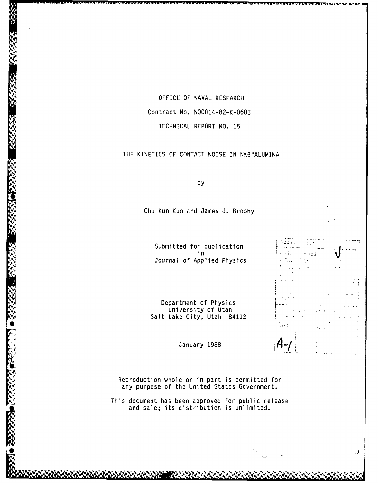OFFICE OF NAVAL RESEARCH Contract No. N00014-82-K-0603 TECHNICAL REPORT NO. 15

THE KINETICS OF CONTACT NOISE IN NaB"ALUMINA

by

**V yby**

Chu Kun Kuo and James **J.** Brophy

Submitted for publication in Journal of Applied Physics

Ji,

11. IS ÷. Ŧй.  $\Lambda$ .  $5 - 21$ 

Department of Physics University of Utah Salt Lake City, Utah 84112

January 1988

Reproduction whole or in part is permitted for any purpose of the United States Government.

This document has been approved for public release and sale; its distribution is unlimited.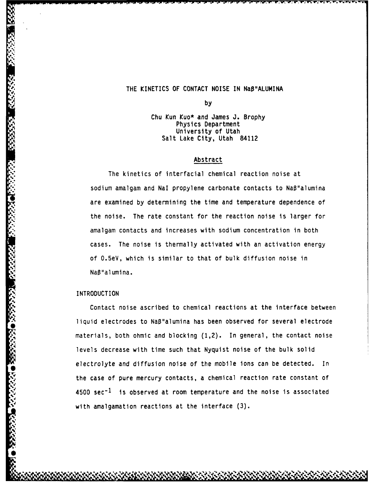# THE KINETICS OF **CONTACT** NOISE IN NaB"ALUMINA

**by**

Chu Kun Kuo\* and James J. Brophy Physics Department University of Utah Salt Lake City, Utah 84112

## Abstract

The kinetics of interfacial chemical reaction noise at sodium amalgam and Nal propylene carbonate contacts to NaB"alumina are examined by determining the time and temperature dependence of the noise. The rate constant for the reaction noise is larger for amalgam contacts and increases with sodium concentration in both cases. The noise is thermally activated with an activation energy of 0.5eV, which is similar to that of bulk diffusion noise in NaB"alumina.

## INTRODUCTION

**S.**

**0,**

Contact noise ascribed to chemical reactions at the interface between liquid electrodes to NaB"alumina has been observed for several electrode materials, both ohmic and blocking (1,2). In general, the contact noise levels decrease with time such that Nyquist noise of the bulk solid electrolyte and diffusion noise of the mobile ions can be detected. In the case of pure mercury contacts, a chemical reaction rate constant of  $4500 \text{ sec}^{-1}$  is observed at room temperature and the noise is associated with amalgamation reactions at the interface (3).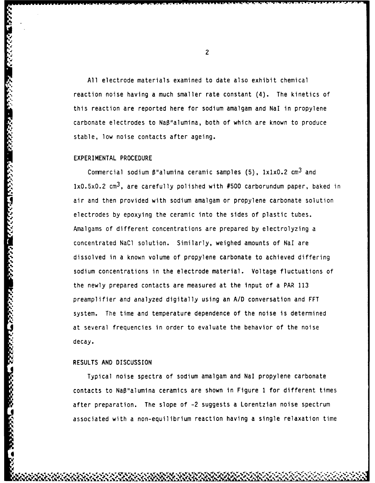All electrode materials examined to date also exhibit chemical reaction noise having a much smaller rate constant (4). The kinetics of this reaction are reported here for sodium amalgam and Nal in propylene carbonate electrodes to Na8"alumina, both of which are known to produce stable, low noise contacts after ageing.

### EXPERIMENTAL PROCEDURE

Commercial sodium  $\beta$ "alumina ceramic samples (5),  $1x1x0.2$  cm<sup>3</sup> and  $1x0.5x0.2$  cm<sup>3</sup>, are carefully polished with #500 carborundum paper, baked in air and then provided with sodium amalgam or propylene carbonate solution electrodes by epoxying the ceramic into the sides of plastic tubes. Amalgams of different concentrations are prepared by electrolyzing a concentrated NaCl solution. Similarly, weighed amounts of Nal are dissolved in a known volume of propylene carbonate to achieved differing sodium concentrations in the electrode material. Voltage fluctuations of the newly prepared contacts are measured at the input of a PAR 113 preamplifier and analyzed digitally using an A/D conversation and FFT system. The time and temperature dependence of the noise is determined at several frequencies in order to evaluate the behavior of the noise decay.

# RESULTS AND DISCUSSION

**i**

5555555

Typical noise spectra of sodium amalgam and Nal propylene carbonate contacts to NaB"alumina ceramics are shown in Figure **1** for different times after preparation. The slope of -2 suggests a Lorentzian noise spectrum associated with a non-equilibrium reaction having a single relaxation time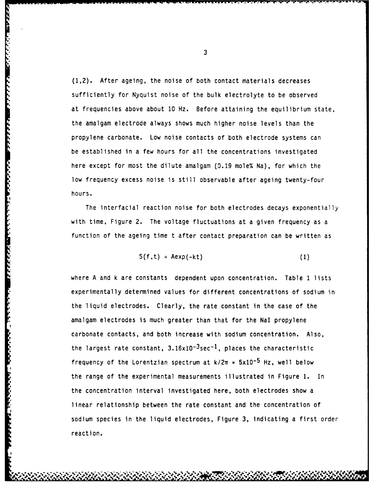(1,2). After ageing, the noise of both contact materials decreases sufficiently for Nyquist noise of the bulk electrolyte to be observed at frequencies above about 10 Hz. Before attaining the equilibrium state, the amalgam electrode always shows much higher noise levels than the propylene carbonate. Low noise contacts of both electrode systems can be established in a few hours for all the concentrations investigated here except for most the dilute amalgam (0.19 mole% Na), for which the low frequency excess noise is still observable after ageing twenty-four hours.

The interfacial reaction noise for both electrodes decays exponentially with time, Figure 2. The voltage fluctuations at a given frequency as a function of the ageing time t after contact preparation can be written as

$$
S(f,t) = Aexp(-kt)
$$
 (1)

where A and k are constants dependent upon concentration. Table **1** lists experimentally determined values for different concentrations of sodium in the liquid electrodes. Clearly, the rate constant in the case of the amalgam electrodes is much greater than that for the Nal propylene carbonate contacts, and both increase with sodium concentration. Also, the largest rate constant,  $3.16 \times 10^{-3}$ sec<sup>-1</sup>, places the characteristic frequency of the Lorentzian spectrum at  $k/2\pi = 5x10^{-5}$  Hz, well below the range of the experimental measurements illustrated in Figure **1.** In the concentration interval investigated here, both electrodes show a linear relationship between the rate constant and the concentration of sodium species in the liquid electrodes, Figure 3, indicating a first order reaction.

**A'** ~ ~~ **~A~A~~A4** ~ ~ **~'.% %~%.~b** '~s,. ~ ~ <sup>v</sup> - **M.'**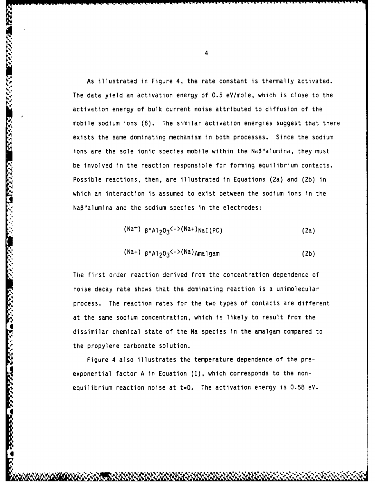As illustrated in Figure 4, the rate constant is thermally activated. The data yield an activation energy of **0.5** eV/mole, which is close to the activation energy of bulk current noise attributed to diffusion of the mobile sodium ions (6). The similar activation energies suggest that there exists the same dominating mechanism in both processes. Since the sodium ions are the sole ionic species mobile within the  $N$ a $\beta$ "alumina, they must be involved in the reaction responsible for forming equilibrium contacts. Possible reactions, then, are illustrated in Equations (2a) and (2b) in which an interaction is assumed to exist between the sodium ions in the NaB'alumina and the sodium species in the electrodes:

**4."**

アクシングル バインス

**I**

**I**

$$
(\text{Na}^+) \ \ \text{B}^{\text{II}} \text{Al}_2 \text{O}_3 \text{K}^{-} (\text{Na}^+) \text{NaI} \text{ (PC)}
$$
 (2a)

$$
(\text{Na+}) \text{B}''\text{Al}_2\text{O}_3^{\langle -\rangle}(\text{Na})\text{A}_{\text{ma}}\text{1}\text{g}_{\text{am}}
$$
 (2b)

The first order reaction derived from the concentration dependence of noise decay rate shows that the dominating reaction is a unimolecular process. The reaction rates for the two types of contacts are different at the same sodium concentration, which is likely to result from the dissimilar chemical state of the Na species in the amalgam compared to the propylene carbonate solution.

Figure 4 also illustrates the temperature dependence of the preexponential factor **A** in Equation (1), which corresponds to the nonequilibrium reaction noise at  $t=0$ . The activation energy is 0.58 eV.

., ~ ~ ~ ~ ~ ~ ~ ~ **,'V II** La **<sup>4</sup> .** .V%%,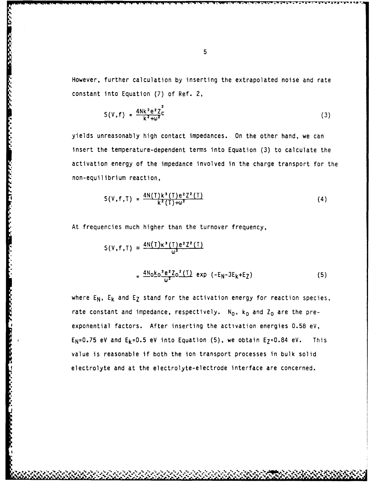However, further calculation by inserting the extrapolated noise and rate constant into Equation (7) of Ref. 2,

$$
S(V, f) = \frac{4Nk^3e^2Z^2}{k^2 + \omega^2}.
$$
 (3)

yields unreasonably high contact impedances. On the other hand, we can insert the temperature-dependent terms into Equation (3) to calculate the activation energy of the impedance involved in the charge transport for the non-equilibrium reaction,

$$
S(V, f, T) = \frac{4N(T)k^3(T)e^2Z^2(T)}{k^2(T)+\omega^2}
$$
 (4)

At frequencies much higher than the turnover frequency,

$$
S(V, f, T) \approx \frac{4N(T)\kappa^{3}(T)e^{2}Z^{2}(T)}{\omega^{2}}
$$

$$
= \frac{4N_{0}\kappa_{0}^{3}e^{2}Z_{0}^{2}(T)}{\omega^{2}}exp(-E_{N}-3E_{k}+E_{Z})
$$
(5)

where  $E_N$ ,  $E_k$  and  $E_Z$  stand for the activation energy for reaction species, rate constant and impedance, respectively. N<sub>O</sub>, k<sub>O</sub> and Z<sub>O</sub> are the preexponential factors. After inserting the activation energies 0.58 eV, E<sub>N</sub>=0.75 eV and E<sub>k</sub>=0.5 eV into Equation (5), we obtain E<sub>Z</sub>=0.84 eV. This value is reasonable if both the ion transport processes in bulk solid electrolyte and at the electrolyte-electrode interface are concerned.

**'**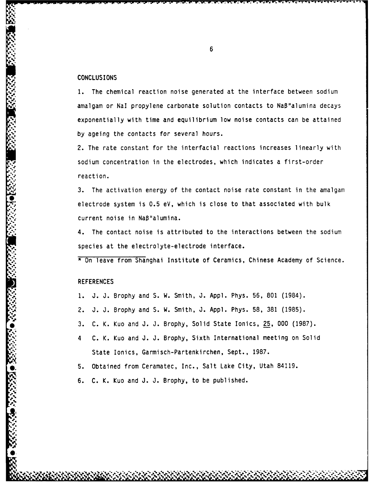### **CONCLUSIONS**

1. The chemical reaction noise generated at the interface between sodium amalgam or NaI propylene carbonate solution contacts to Naß"alumina decays exponentially with time and equilibrium low noise contacts can be attained **by** ageing the contacts for several hours.

2. The rate constant for the interfacial reactions increases linearly with sodium concentration in the electrodes, which indicates a first-order reaction.

**3.** The activation energy of the contact noise rate constant in the amalgam electrode system is **0.5** eV, which is close to that associated with bulk current noise in NaB"alumina.

4. The contact noise is attributed to the interactions between the sodium species at the electrolyte-electrode interface.

\* On leave from Shanghai Institute of Ceramics, Chinese Academy of Science.

#### **REFERENCES**

*15,,..-*

**0.**

- **1. J. J.** Brophy and **S.** W. Smith, **J. Appl.** Phys. **56, 801** (1984).
- **A2. J. J.** Brophy and **S.** W. Smith, **J. Appl.** Phys. **58, 381 (1985).**
- **\*3. C.** K. Kuo and **J. J.** Brophy, Solid State Ionics, **25, 000 (1987).**
- -'4 **C.** K. Kuo and **J. J.** Brophy, Sixth International meeting on Solid State Ionics, Garmisch-Partenkirchen, Sept., **1987.**
- **5.** Obtained from Ceramatec, Inc., Salt Lake City, Utah 84119.
- **6. C.** K. Kuo and **J. J.** Brophy, to be published.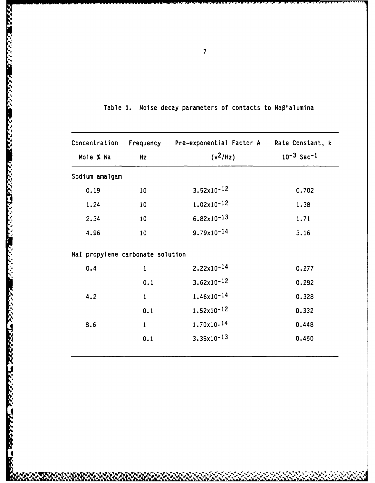| Mole % Na                        | Hz              | Concentration Frequency Pre-exponential Factor A<br>$(v^2/Hz)$ | Rate Constant, k<br>$10^{-3}$ Sec <sup>-1</sup> |
|----------------------------------|-----------------|----------------------------------------------------------------|-------------------------------------------------|
| Sodium amalgam                   |                 |                                                                |                                                 |
| 0.19                             | 10 <sub>1</sub> | $3.52 \times 10^{-12}$                                         | 0.702                                           |
| 1.24                             | 10              | $1.02 \times 10^{-12}$                                         | 1.38                                            |
| 2.34                             | 10              | $6.82 \times 10^{-13}$                                         | 1.71                                            |
| 4.96                             | 10              | $9.79 \times 10^{-14}$                                         | 3.16                                            |
| Nal propylene carbonate solution |                 |                                                                |                                                 |
| 0.4                              | $\mathbf{1}$    | $2.22 \times 10^{-14}$                                         | 0.277                                           |
|                                  | 0.1             | $3.62 \times 10^{-12}$                                         | 0.282                                           |
| 4.2                              | $\mathbf{1}$    | $1.46 \times 10^{-14}$                                         | 0.328                                           |
|                                  | 0.1             | $1.52 \times 10^{-12}$                                         | 0.332                                           |
| 8.6                              | $\mathbf{1}$    | $1.70 \times 10^{-14}$                                         | 0.448                                           |
|                                  | 0.1             | $3.35 \times 10^{-13}$                                         | 0.460                                           |

Table 1. Noise decay parameters of contacts to Naß"alumina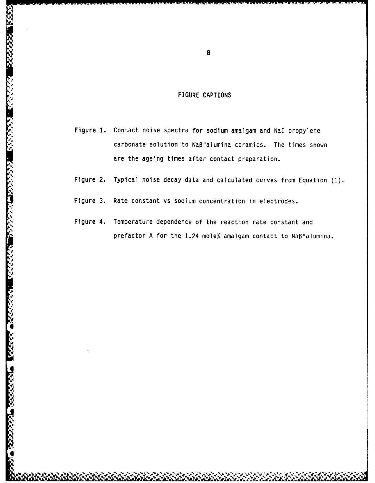# FIGURE CAPTIONS

- Figure **1.** Contact noise spectra for sodium amalgam and **Nal** propylene carbonate solution to NaB"alumina ceramics. The times shown are the ageing times after contact preparation.
- Figure 2. Typical noise decay data and calculated curves from Equation **(1).**
- Figure **3.** Rate constant vs sodium concentration in electrodes.

**N-10-20-20-20-20** 

**KGS** 

232223

**,'**

5555555

,

 $\mathbf{r}$ 

0232223 023323

 $\mathcal{L}(\mathbf{X}, \mathbf{X})$ 

Figure 4. Temperature dependence of the reaction rate constant and prefactor A for the 1.24 mole% amalgam contact to NaB"alumina.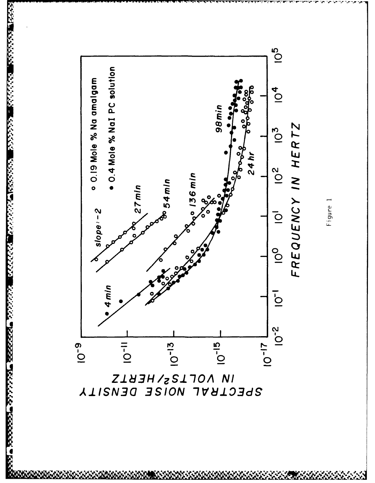

822222 8333333

**RAAGA TAARA DESSAS** 

<u>da beessa orang beessa da</u>

IN NOTL25/HEBLZ<br>ZLBAT MOISE DENZILA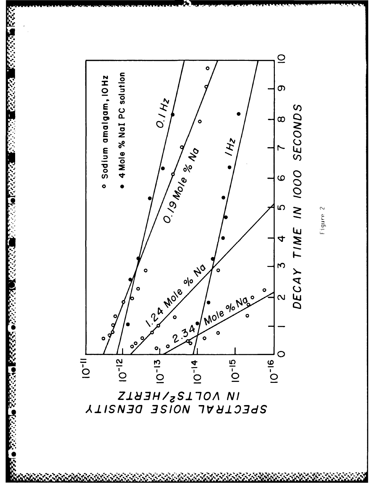

333333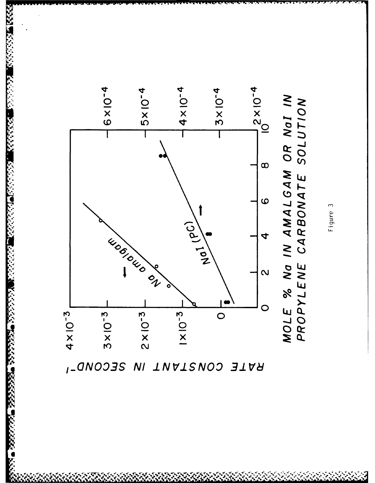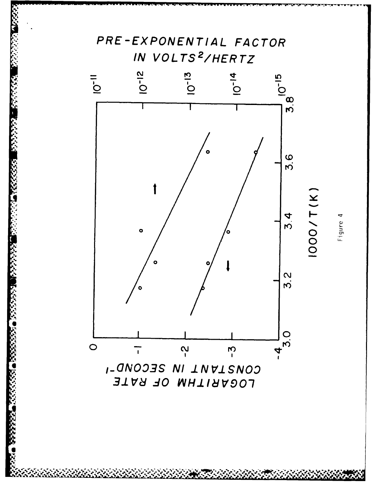